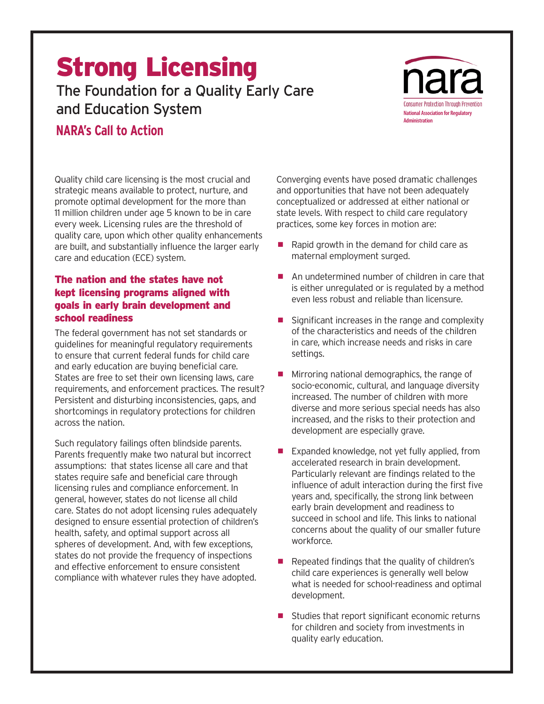# Strong Licensing The Foundation for a Quality Early Care

and Education System

## **NARA's Call to Action**

nara **Consumer Protection Through Preventi National Association for Regulatory Administration**

Quality child care licensing is the most crucial and strategic means available to protect, nurture, and promote optimal development for the more than 11 million children under age 5 known to be in care every week. Licensing rules are the threshold of quality care, upon which other quality enhancements are built, and substantially influence the larger early care and education (ECE) system.

### The nation and the states have not kept licensing programs aligned with goals in early brain development and school readiness

The federal government has not set standards or guidelines for meaningful regulatory requirements to ensure that current federal funds for child care and early education are buying beneficial care. States are free to set their own licensing laws, care requirements, and enforcement practices. The result? Persistent and disturbing inconsistencies, gaps, and shortcomings in regulatory protections for children across the nation.

Such regulatory failings often blindside parents. Parents frequently make two natural but incorrect assumptions: that states license all care and that states require safe and beneficial care through licensing rules and compliance enforcement. In general, however, states do not license all child care. States do not adopt licensing rules adequately designed to ensure essential protection of children's health, safety, and optimal support across all spheres of development. And, with few exceptions, states do not provide the frequency of inspections and effective enforcement to ensure consistent compliance with whatever rules they have adopted.

Converging events have posed dramatic challenges and opportunities that have not been adequately conceptualized or addressed at either national or state levels. With respect to child care regulatory practices, some key forces in motion are:

- $\blacksquare$  Rapid growth in the demand for child care as maternal employment surged.
- An undetermined number of children in care that is either unregulated or is regulated by a method even less robust and reliable than licensure.
- $\blacksquare$  Significant increases in the range and complexity of the characteristics and needs of the children in care, which increase needs and risks in care settings.
- $\blacksquare$  Mirroring national demographics, the range of socio-economic, cultural, and language diversity increased. The number of children with more diverse and more serious special needs has also increased, and the risks to their protection and development are especially grave.
- $\blacksquare$  Expanded knowledge, not yet fully applied, from accelerated research in brain development. Particularly relevant are findings related to the influence of adult interaction during the first five years and, specifically, the strong link between early brain development and readiness to succeed in school and life. This links to national concerns about the quality of our smaller future workforce.
- Repeated findings that the quality of children's child care experiences is generally well below what is needed for school-readiness and optimal development.
- $\blacksquare$  Studies that report significant economic returns for children and society from investments in quality early education.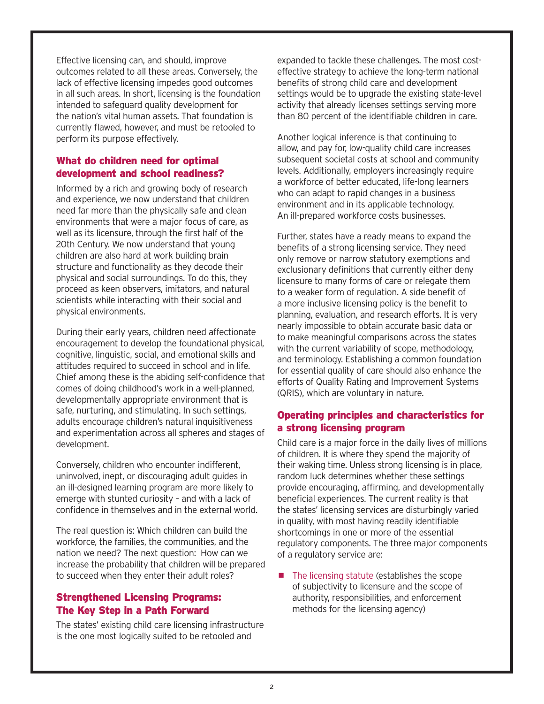Effective licensing can, and should, improve outcomes related to all these areas. Conversely, the lack of effective licensing impedes good outcomes in all such areas. In short, licensing is the foundation intended to safeguard quality development for the nation's vital human assets. That foundation is currently flawed, however, and must be retooled to perform its purpose effectively.

#### What do children need for optimal development and school readiness?

Informed by a rich and growing body of research and experience, we now understand that children need far more than the physically safe and clean environments that were a major focus of care, as well as its licensure, through the first half of the 20th Century. We now understand that young children are also hard at work building brain structure and functionality as they decode their physical and social surroundings. To do this, they proceed as keen observers, imitators, and natural scientists while interacting with their social and physical environments.

During their early years, children need affectionate encouragement to develop the foundational physical, cognitive, linguistic, social, and emotional skills and attitudes required to succeed in school and in life. Chief among these is the abiding self-confidence that comes of doing childhood's work in a well-planned, developmentally appropriate environment that is safe, nurturing, and stimulating. In such settings, adults encourage children's natural inquisitiveness and experimentation across all spheres and stages of development.

Conversely, children who encounter indifferent, uninvolved, inept, or discouraging adult guides in an ill-designed learning program are more likely to emerge with stunted curiosity – and with a lack of confidence in themselves and in the external world.

The real question is: Which children can build the workforce, the families, the communities, and the nation we need? The next question: How can we increase the probability that children will be prepared to succeed when they enter their adult roles?

#### Strengthened Licensing Programs: The Key Step in a Path Forward

The states' existing child care licensing infrastructure is the one most logically suited to be retooled and

expanded to tackle these challenges. The most costeffective strategy to achieve the long-term national benefits of strong child care and development settings would be to upgrade the existing state-level activity that already licenses settings serving more than 80 percent of the identifiable children in care.

Another logical inference is that continuing to allow, and pay for, low-quality child care increases subsequent societal costs at school and community levels. Additionally, employers increasingly require a workforce of better educated, life-long learners who can adapt to rapid changes in a business environment and in its applicable technology. An ill-prepared workforce costs businesses.

Further, states have a ready means to expand the benefits of a strong licensing service. They need only remove or narrow statutory exemptions and exclusionary definitions that currently either deny licensure to many forms of care or relegate them to a weaker form of regulation. A side benefit of a more inclusive licensing policy is the benefit to planning, evaluation, and research efforts. It is very nearly impossible to obtain accurate basic data or to make meaningful comparisons across the states with the current variability of scope, methodology, and terminology. Establishing a common foundation for essential quality of care should also enhance the efforts of Quality Rating and Improvement Systems (QRIS), which are voluntary in nature.

#### Operating principles and characteristics for a strong licensing program

Child care is a major force in the daily lives of millions of children. It is where they spend the majority of their waking time. Unless strong licensing is in place, random luck determines whether these settings provide encouraging, affirming, and developmentally beneficial experiences. The current reality is that the states' licensing services are disturbingly varied in quality, with most having readily identifiable shortcomings in one or more of the essential regulatory components. The three major components of a regulatory service are:

 $\blacksquare$  The licensing statute (establishes the scope of subjectivity to licensure and the scope of authority, responsibilities, and enforcement methods for the licensing agency)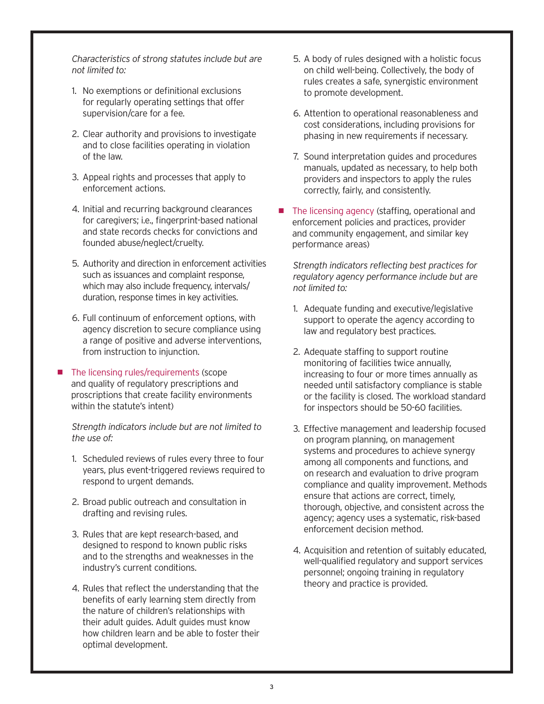*Characteristics of strong statutes include but are not limited to:*

- 1. No exemptions or definitional exclusions for regularly operating settings that offer supervision/care for a fee.
- 2. Clear authority and provisions to investigate and to close facilities operating in violation of the law.
- 3. Appeal rights and processes that apply to enforcement actions.
- 4. Initial and recurring background clearances for caregivers; i.e., fingerprint-based national and state records checks for convictions and founded abuse/neglect/cruelty.
- 5. Authority and direction in enforcement activities such as issuances and complaint response, which may also include frequency, intervals/ duration, response times in key activities.
- 6. Full continuum of enforcement options, with agency discretion to secure compliance using a range of positive and adverse interventions, from instruction to injunction.
- $\blacksquare$  The licensing rules/requirements (scope and quality of regulatory prescriptions and proscriptions that create facility environments within the statute's intent)

*Strength indicators include but are not limited to the use of:*

- 1. Scheduled reviews of rules every three to four years, plus event-triggered reviews required to respond to urgent demands.
- 2. Broad public outreach and consultation in drafting and revising rules.
- 3. Rules that are kept research-based, and designed to respond to known public risks and to the strengths and weaknesses in the industry's current conditions.
- 4. Rules that reflect the understanding that the benefits of early learning stem directly from the nature of children's relationships with their adult guides. Adult guides must know how children learn and be able to foster their optimal development.
- 5. A body of rules designed with a holistic focus on child well-being. Collectively, the body of rules creates a safe, synergistic environment to promote development.
- 6. Attention to operational reasonableness and cost considerations, including provisions for phasing in new requirements if necessary.
- 7. Sound interpretation guides and procedures manuals, updated as necessary, to help both providers and inspectors to apply the rules correctly, fairly, and consistently.
- The licensing agency (staffing, operational and enforcement policies and practices, provider and community engagement, and similar key performance areas)

*Strength indicators reflecting best practices for regulatory agency performance include but are not limited to:* 

- 1. Adequate funding and executive/legislative support to operate the agency according to law and regulatory best practices.
- 2. Adequate staffing to support routine monitoring of facilities twice annually, increasing to four or more times annually as needed until satisfactory compliance is stable or the facility is closed. The workload standard for inspectors should be 50-60 facilities.
- 3. Effective management and leadership focused on program planning, on management systems and procedures to achieve synergy among all components and functions, and on research and evaluation to drive program compliance and quality improvement. Methods ensure that actions are correct, timely, thorough, objective, and consistent across the agency; agency uses a systematic, risk-based enforcement decision method.
- 4. Acquisition and retention of suitably educated, well-qualified regulatory and support services personnel; ongoing training in regulatory theory and practice is provided.